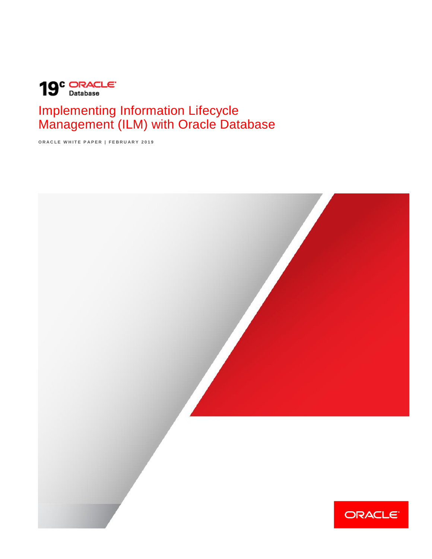

# Implementing Information Lifecycle Management (ILM) with Oracle Database

**O R A C L E W H I T E P A P E R | F E B R U A R Y 2 0 1 9**

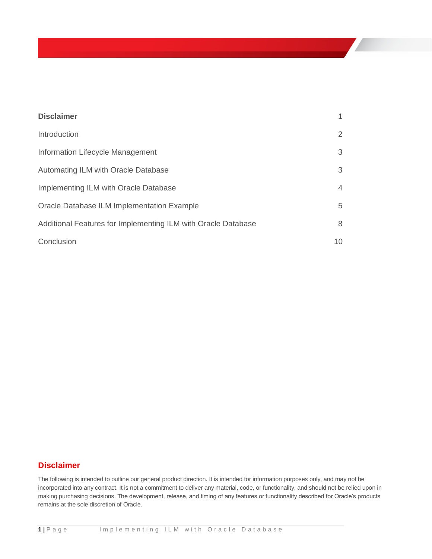| <b>Disclaimer</b>                                             | 1              |
|---------------------------------------------------------------|----------------|
| Introduction                                                  | $\overline{2}$ |
| Information Lifecycle Management                              | 3              |
| Automating ILM with Oracle Database                           | 3              |
| Implementing ILM with Oracle Database                         | $\overline{4}$ |
| Oracle Database ILM Implementation Example                    | 5              |
| Additional Features for Implementing ILM with Oracle Database | 8              |
| Conclusion                                                    | 10             |

# <span id="page-1-0"></span>**Disclaimer**

The following is intended to outline our general product direction. It is intended for information purposes only, and may not be incorporated into any contract. It is not a commitment to deliver any material, code, or functionality, and should not be relied upon in making purchasing decisions. The development, release, and timing of any features or functionality described for Oracle's products remains at the sole discretion of Oracle.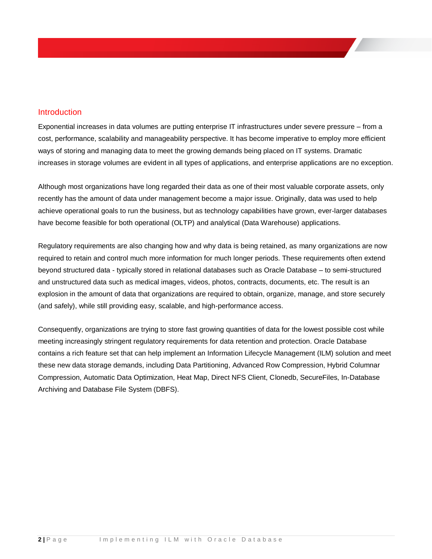## <span id="page-2-0"></span>**Introduction**

Exponential increases in data volumes are putting enterprise IT infrastructures under severe pressure – from a cost, performance, scalability and manageability perspective. It has become imperative to employ more efficient ways of storing and managing data to meet the growing demands being placed on IT systems. Dramatic increases in storage volumes are evident in all types of applications, and enterprise applications are no exception.

Although most organizations have long regarded their data as one of their most valuable corporate assets, only recently has the amount of data under management become a major issue. Originally, data was used to help achieve operational goals to run the business, but as technology capabilities have grown, ever-larger databases have become feasible for both operational (OLTP) and analytical (Data Warehouse) applications.

Regulatory requirements are also changing how and why data is being retained, as many organizations are now required to retain and control much more information for much longer periods. These requirements often extend beyond structured data - typically stored in relational databases such as Oracle Database – to semi-structured and unstructured data such as medical images, videos, photos, contracts, documents, etc. The result is an explosion in the amount of data that organizations are required to obtain, organize, manage, and store securely (and safely), while still providing easy, scalable, and high-performance access.

Consequently, organizations are trying to store fast growing quantities of data for the lowest possible cost while meeting increasingly stringent regulatory requirements for data retention and protection. Oracle Database contains a rich feature set that can help implement an Information Lifecycle Management (ILM) solution and meet these new data storage demands, including Data Partitioning, Advanced Row Compression, Hybrid Columnar Compression, Automatic Data Optimization, Heat Map, Direct NFS Client, Clonedb, SecureFiles, In-Database Archiving and Database File System (DBFS).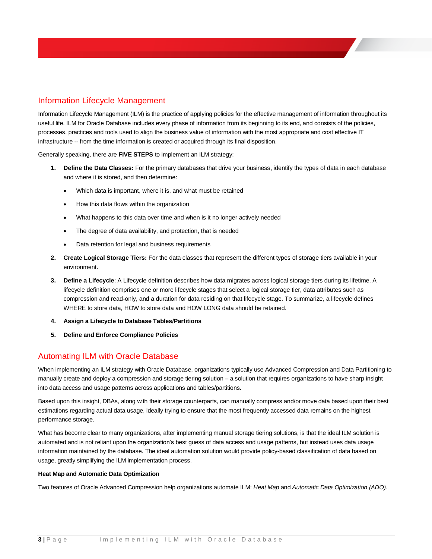# <span id="page-3-0"></span>Information Lifecycle Management

Information Lifecycle Management (ILM) is the practice of applying policies for the effective management of information throughout its useful life. ILM for Oracle Database includes every phase of information from its beginning to its end, and consists of the policies, processes, practices and tools used to align the business value of information with the most appropriate and cost effective IT infrastructure -- from the time information is created or acquired through its final disposition.

Generally speaking, there are **FIVE STEPS** to implement an ILM strategy:

- **1. Define the Data Classes:** For the primary databases that drive your business, identify the types of data in each database and where it is stored, and then determine:
	- Which data is important, where it is, and what must be retained
	- How this data flows within the organization
	- What happens to this data over time and when is it no longer actively needed
	- The degree of data availability, and protection, that is needed
	- Data retention for legal and business requirements
- **2. Create Logical Storage Tiers:** For the data classes that represent the different types of storage tiers available in your environment.
- **3. Define a Lifecycle**: A Lifecycle definition describes how data migrates across logical storage tiers during its lifetime. A lifecycle definition comprises one or more lifecycle stages that select a logical storage tier, data attributes such as compression and read-only, and a duration for data residing on that lifecycle stage. To summarize, a lifecycle defines WHERE to store data, HOW to store data and HOW LONG data should be retained.
- **4. Assign a Lifecycle to Database Tables/Partitions**
- **5. Define and Enforce Compliance Policies**

### <span id="page-3-1"></span>Automating ILM with Oracle Database

When implementing an ILM strategy with Oracle Database, organizations typically use Advanced Compression and Data Partitioning to manually create and deploy a compression and storage tiering solution – a solution that requires organizations to have sharp insight into data access and usage patterns across applications and tables/partitions.

Based upon this insight, DBAs, along with their storage counterparts, can manually compress and/or move data based upon their best estimations regarding actual data usage, ideally trying to ensure that the most frequently accessed data remains on the highest performance storage.

What has become clear to many organizations, after implementing manual storage tiering solutions, is that the ideal ILM solution is automated and is not reliant upon the organization's best guess of data access and usage patterns, but instead uses data usage information maintained by the database. The ideal automation solution would provide policy-based classification of data based on usage, greatly simplifying the ILM implementation process.

#### **Heat Map and Automatic Data Optimization**

Two features of Oracle Advanced Compression help organizations automate ILM: *Heat Map* and *Automatic Data Optimization (ADO).*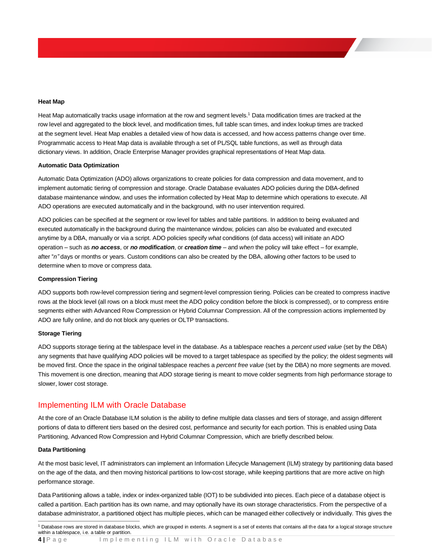#### **Heat Map**

Heat Map automatically tracks usage information at the row and segment levels.<sup>1</sup> Data modification times are tracked at the row level and aggregated to the block level, and modification times, full table scan times, and index lookup times are tracked at the segment level. Heat Map enables a detailed view of how data is accessed, and how access patterns change over time. Programmatic access to Heat Map data is available through a set of PL/SQL table functions, as well as through data dictionary views. In addition, Oracle Enterprise Manager provides graphical representations of Heat Map data.

#### **Automatic Data Optimization**

Automatic Data Optimization (ADO) allows organizations to create policies for data compression and data movement, and to implement automatic tiering of compression and storage. Oracle Database evaluates ADO policies during the DBA-defined database maintenance window, and uses the information collected by Heat Map to determine which operations to execute. All ADO operations are executed automatically and in the background, with no user intervention required.

ADO policies can be specified at the segment or row level for tables and table partitions. In addition to being evaluated and executed automatically in the background during the maintenance window, policies can also be evaluated and executed anytime by a DBA, manually or via a script. ADO policies specify *what* conditions (of data access) will initiate an ADO operation – such as *no access*, or *no modification*, or *creation time* – and *when* the policy will take effect – for example, after "*n"* days or months or years. Custom conditions can also be created by the DBA, allowing other factors to be used to determine when to move or compress data.

#### **Compression Tiering**

ADO supports both row-level compression tiering and segment-level compression tiering. Policies can be created to compress inactive rows at the block level (all rows on a block must meet the ADO policy condition before the block is compressed), or to compress entire segments either with Advanced Row Compression or Hybrid Columnar Compression. All of the compression actions implemented by ADO are fully online, and do not block any queries or OLTP transactions.

#### **Storage Tiering**

ADO supports storage tiering at the tablespace level in the database. As a tablespace reaches a *percent used value* (set by the DBA) any segments that have qualifying ADO policies will be moved to a target tablespace as specified by the policy; the oldest segments will be moved first. Once the space in the original tablespace reaches a *percent free value* (set by the DBA) no more segments are moved. This movement is one direction, meaning that ADO storage tiering is meant to move colder segments from high performance storage to slower, lower cost storage.

### <span id="page-4-0"></span>Implementing ILM with Oracle Database

At the core of an Oracle Database ILM solution is the ability to define multiple data classes and tiers of storage, and assign different portions of data to different tiers based on the desired cost, performance and security for each portion. This is enabled using Data Partitioning, Advanced Row Compression and Hybrid Columnar Compression, which are briefly described below.

#### **Data Partitioning**

At the most basic level, IT administrators can implement an Information Lifecycle Management (ILM) strategy by partitioning data based on the age of the data, and then moving historical partitions to low-cost storage, while keeping partitions that are more active on high performance storage.

Data Partitioning allows a table, index or index-organized table (IOT) to be subdivided into pieces. Each piece of a database object is called a partition. Each partition has its own name, and may optionally have its own storage characteristics. From the perspective of a database administrator, a partitioned object has multiple pieces, which can be managed either collectively or individually. This gives the

 $\overline{a}$ <sup>1</sup> Database rows are stored in database blocks, which are grouped in extents. A segment is a set of extents that contains all the data for a logical storage structure within a tablespace, i.e. a table or partition.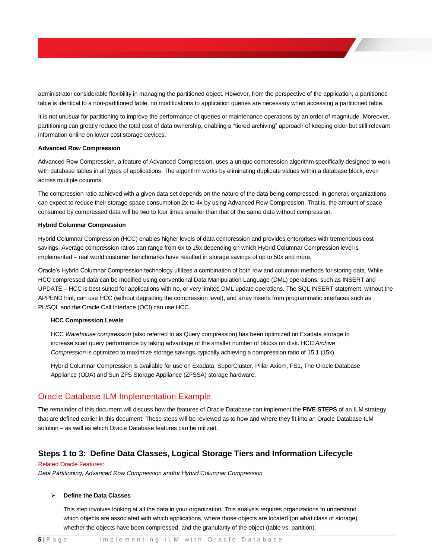administrator considerable flexibility in managing the partitioned object. However, from the perspective of the application, a partitioned table is identical to a non-partitioned table; no modifications to application queries are necessary when accessing a partitioned table.

It is not unusual for partitioning to improve the performance of queries or maintenance operations by an order of magnitude. Moreover, partitioning can greatly reduce the total cost of data ownership, enabling a "tiered archiving" approach of keeping older but still relevant information online on lower cost storage devices.

#### **Advanced Row Compression**

Advanced Row Compression, a feature of Advanced Compression, uses a unique compression algorithm specifically designed to work with database tables in all types of applications. The algorithm works by eliminating duplicate values within a database block, even across multiple columns.

The compression ratio achieved with a given data set depends on the nature of the data being compressed. In general, organizations can expect to reduce their storage space consumption 2x to 4x by using Advanced Row Compression. That is, the amount of space consumed by compressed data will be two to four times smaller than that of the same data without compression.

#### **Hybrid Columnar Compression**

Hybrid Columnar Compression (HCC) enables higher levels of data compression and provides enterprises with tremendous cost savings. Average compression ratios can range from 6x to 15x depending on which Hybrid Columnar Compression level is implemented – real world customer benchmarks have resulted in storage savings of up to 50x and more.

Oracle's Hybrid Columnar Compression technology utilizes a combination of both row and columnar methods for storing data. While HCC compressed data can be modified using conventional Data Manipulation Language (DML) operations, such as INSERT and UPDATE – HCC is best suited for applications with no, or very limited DML update operations. The SQL INSERT statement, without the APPEND hint, can use HCC (without degrading the compression level), and array inserts from programmatic interfaces such as PL/SQL and the Oracle Call Interface (OCI) can use HCC.

#### **HCC Compression Levels**

HCC *Warehouse compression* (also referred to as Query compression) has been optimized on Exadata storage to increase scan query performance by taking advantage of the smaller number of blocks on disk. HCC *Archive Compression* is optimized to maximize storage savings, typically achieving a compression ratio of 15:1 (15x).

Hybrid Columnar Compression is available for use on Exadata, SuperCluster, Pillar Axiom, FS1, The Oracle Database Appliance (ODA) and Sun ZFS Storage Appliance (ZFSSA) storage hardware.

### <span id="page-5-0"></span>Oracle Database ILM Implementation Example

The remainder of this document will discuss how the features of Oracle Database can implement the **FIVE STEPS** of an ILM strategy that are defined earlier in this document. These steps will be reviewed as to how and where they fit into an Oracle Database ILM solution – as well as which Oracle Database features can be utilized.

### **Steps 1 to 3: Define Data Classes, Logical Storage Tiers and Information Lifecycle**

#### Related Oracle Features:

*Data Partitioning, Advanced Row Compression and/or Hybrid Columnar Compression*

#### **Define the Data Classes**

This step involves looking at all the data in your organization. This analysis requires organizations to understand which objects are associated with which applications, where those objects are located (on what class of storage), whether the objects have been compressed, and the granularity of the object (table vs. partition).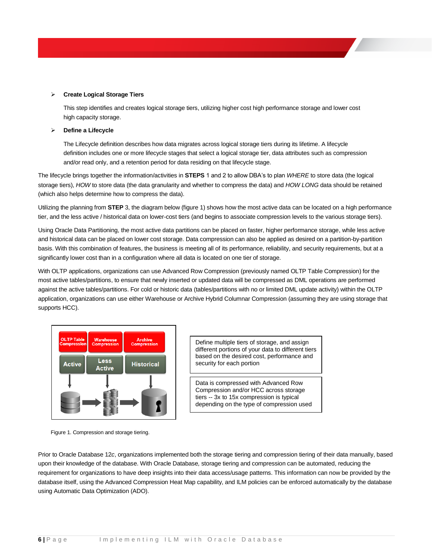#### **Create Logical Storage Tiers**

This step identifies and creates logical storage tiers, utilizing higher cost high performance storage and lower cost high capacity storage.

#### **Define a Lifecycle**

The Lifecycle definition describes how data migrates across logical storage tiers during its lifetime. A lifecycle definition includes one or more lifecycle stages that select a logical storage tier, data attributes such as compression and/or read only, and a retention period for data residing on that lifecycle stage.

The lifecycle brings together the information/activities in **STEPS** 1 and 2 to allow DBA's to plan *WHERE* to store data (the logical storage tiers), *HOW* to store data (the data granularity and whether to compress the data) and *HOW LONG* data should be retained (which also helps determine how to compress the data).

Utilizing the planning from **STEP** 3, the diagram below (figure 1) shows how the most active data can be located on a high performance tier, and the less active / historical data on lower-cost tiers (and begins to associate compression levels to the various storage tiers).

Using Oracle Data Partitioning, the most active data partitions can be placed on faster, higher performance storage, while less active and historical data can be placed on lower cost storage. Data compression can also be applied as desired on a partition-by-partition basis. With this combination of features, the business is meeting all of its performance, reliability, and security requirements, but at a significantly lower cost than in a configuration where all data is located on one tier of storage.

With OLTP applications, organizations can use Advanced Row Compression (previously named OLTP Table Compression) for the most active tables/partitions, to ensure that newly inserted or updated data will be compressed as DML operations are performed against the active tables/partitions. For cold or historic data (tables/partitions with no or limited DML update activity) within the OLTP application, organizations can use either Warehouse or Archive Hybrid Columnar Compression (assuming they are using storage that supports HCC).



Figure 1. Compression and storage tiering.

Define multiple tiers of storage, and assign different portions of your data to different tiers based on the desired cost, performance and security for each portion

Data is compressed with Advanced Row Compression and/or HCC across storage tiers -- 3x to 15x compression is typical depending on the type of compression used

Prior to Oracle Database 12*c*, organizations implemented both the storage tiering and compression tiering of their data manually, based upon their knowledge of the database. With Oracle Database*,* storage tiering and compression can be automated, reducing the requirement for organizations to have deep insights into their data access/usage patterns. This information can now be provided by the database itself, using the Advanced Compression Heat Map capability, and ILM policies can be enforced automatically by the database using Automatic Data Optimization (ADO).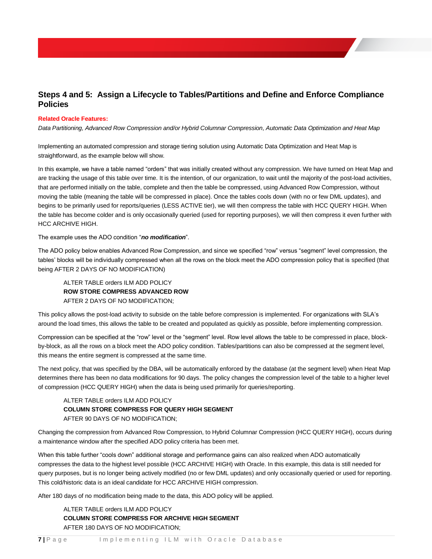# **Steps 4 and 5: Assign a Lifecycle to Tables/Partitions and Define and Enforce Compliance Policies**

#### **Related Oracle Features:**

*Data Partitioning, Advanced Row Compression and/or Hybrid Columnar Compression, Automatic Data Optimization and Heat Map*

Implementing an automated compression and storage tiering solution using Automatic Data Optimization and Heat Map is straightforward, as the example below will show.

In this example, we have a table named "orders" that was initially created without any compression. We have turned on Heat Map and are tracking the usage of this table over time. It is the intention, of our organization, to wait until the majority of the post-load activities, that are performed initially on the table, complete and then the table be compressed, using Advanced Row Compression, without moving the table (meaning the table will be compressed in place). Once the tables cools down (with no or few DML updates), and begins to be primarily used for reports/queries (LESS ACTIVE tier), we will then compress the table with HCC QUERY HIGH. When the table has become colder and is only occasionally queried (used for reporting purposes), we will then compress it even further with HCC ARCHIVE HIGH.

The example uses the ADO condition "*no modification*".

The ADO policy below enables Advanced Row Compression, and since we specified "row" versus "segment" level compression, the tables' blocks will be individually compressed when all the rows on the block meet the ADO compression policy that is specified (that being AFTER 2 DAYS OF NO MODIFICATION)

ALTER TABLE orders ILM ADD POLICY **ROW STORE COMPRESS ADVANCED ROW** AFTER 2 DAYS OF NO MODIFICATION;

This policy allows the post-load activity to subside on the table before compression is implemented. For organizations with SLA's around the load times, this allows the table to be created and populated as quickly as possible, before implementing compression.

Compression can be specified at the "row" level or the "segment" level. Row level allows the table to be compressed in place, blockby-block, as all the rows on a block meet the ADO policy condition. Tables/partitions can also be compressed at the segment level, this means the entire segment is compressed at the same time.

The next policy, that was specified by the DBA, will be automatically enforced by the database (at the segment level) when Heat Map determines there has been no data modifications for 90 days. The policy changes the compression level of the table to a higher level of compression (HCC QUERY HIGH) when the data is being used primarily for queries/reporting.

### ALTER TABLE orders ILM ADD POLICY **COLUMN STORE COMPRESS FOR QUERY HIGH SEGMENT** AFTER 90 DAYS OF NO MODIFICATION;

Changing the compression from Advanced Row Compression, to Hybrid Columnar Compression (HCC QUERY HIGH), occurs during a maintenance window after the specified ADO policy criteria has been met.

When this table further "cools down" additional storage and performance gains can also realized when ADO automatically compresses the data to the highest level possible (HCC ARCHIVE HIGH) with Oracle. In this example, this data is still needed for query purposes, but is no longer being actively modified (no or few DML updates) and only occasionally queried or used for reporting. This cold/historic data is an ideal candidate for HCC ARCHIVE HIGH compression.

After 180 days of no modification being made to the data, this ADO policy will be applied.

ALTER TABLE orders ILM ADD POLICY **COLUMN STORE COMPRESS FOR ARCHIVE HIGH SEGMENT** AFTER 180 DAYS OF NO MODIFICATION;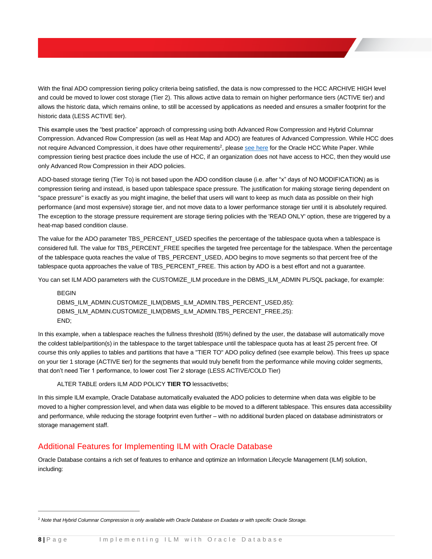With the final ADO compression tiering policy criteria being satisfied, the data is now compressed to the HCC ARCHIVE HIGH level and could be moved to lower cost storage (Tier 2). This allows active data to remain on higher performance tiers (ACTIVE tier) and allows the historic data, which remains online, to still be accessed by applications as needed and ensures a smaller footprint for the historic data (LESS ACTIVE tier).

This example uses the "best practice" approach of compressing using both Advanced Row Compression and Hybrid Columnar Compression. Advanced Row Compression (as well as Heat Map and ADO) are features of Advanced Compression. While HCC does not require Advanced Compression, it does have other requirements<sup>2</sup>, pleas[e see here](https://www.oracle.com/ocom/groups/public/@otn/documents/webcontent/200703.pdf) for the Oracle HCC White Paper. While compression tiering best practice does include the use of HCC, if an organization does not have access to HCC, then they would use only Advanced Row Compression in their ADO policies.

ADO-based storage tiering (Tier To) is not based upon the ADO condition clause (i.e. after "x" days of NO MODIFICATION) as is compression tiering and instead, is based upon tablespace space pressure. The justification for making storage tiering dependent on "space pressure" is exactly as you might imagine, the belief that users will want to keep as much data as possible on their high performance (and most expensive) storage tier, and not move data to a lower performance storage tier until it is absolutely required. The exception to the storage pressure requirement are storage tiering policies with the 'READ ONLY' option, these are triggered by a heat-map based condition clause.

The value for the ADO parameter TBS\_PERCENT\_USED specifies the percentage of the tablespace quota when a tablespace is considered full. The value for TBS\_PERCENT\_FREE specifies the targeted free percentage for the tablespace. When the percentage of the tablespace quota reaches the value of TBS\_PERCENT\_USED, ADO begins to move segments so that percent free of the tablespace quota approaches the value of TBS\_PERCENT\_FREE. This action by ADO is a best effort and not a quarantee.

You can set ILM ADO parameters with the CUSTOMIZE\_ILM procedure in the DBMS\_ILM\_ADMIN PL/SQL package, for example:

BEGIN DBMS\_ILM\_ADMIN.CUSTOMIZE\_ILM(DBMS\_ILM\_ADMIN.TBS\_PERCENT\_USED,85): DBMS\_ILM\_ADMIN.CUSTOMIZE\_ILM(DBMS\_ILM\_ADMIN.TBS\_PERCENT\_FREE,25): END;

In this example, when a tablespace reaches the fullness threshold (85%) defined by the user, the database will automatically move the coldest table/partition(s) in the tablespace to the target tablespace until the tablespace quota has at least 25 percent free. Of course this only applies to tables and partitions that have a "TIER TO" ADO policy defined (see example below). This frees up space on your tier 1 storage (ACTIVE tier) for the segments that would truly benefit from the performance while moving colder segments, that don't need Tier 1 performance, to lower cost Tier 2 storage (LESS ACTIVE/COLD Tier)

ALTER TABLE orders ILM ADD POLICY **TIER TO** lessactivetbs;

 $\overline{a}$ 

In this simple ILM example, Oracle Database automatically evaluated the ADO policies to determine when data was eligible to be moved to a higher compression level, and when data was eligible to be moved to a different tablespace. This ensures data accessibility and performance, while reducing the storage footprint even further – with no additional burden placed on database administrators or storage management staff.

# <span id="page-8-0"></span>Additional Features for Implementing ILM with Oracle Database

Oracle Database contains a rich set of features to enhance and optimize an Information Lifecycle Management (ILM) solution, including:

<sup>2</sup> *Note that Hybrid Columnar Compression is only available with Oracle Database on Exadata or with specific Oracle Storage.*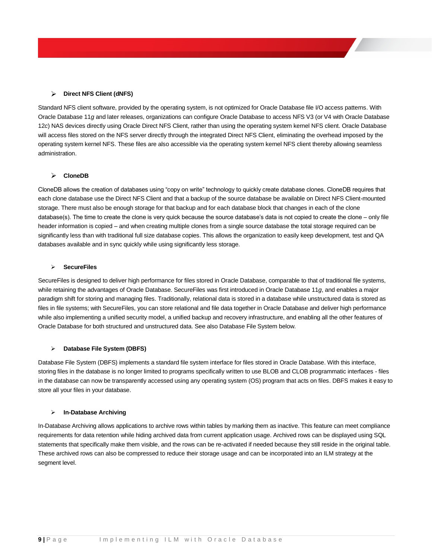#### **Direct NFS Client (dNFS)**

Standard NFS client software, provided by the operating system, is not optimized for Oracle Database file I/O access patterns. With Oracle Database 11*g* and later releases, organizations can configure Oracle Database to access NFS V3 (or V4 with Oracle Database 12*c*) NAS devices directly using Oracle Direct NFS Client, rather than using the operating system kernel NFS client. Oracle Database will access files stored on the NFS server directly through the integrated Direct NFS Client, eliminating the overhead imposed by the operating system kernel NFS. These files are also accessible via the operating system kernel NFS client thereby allowing seamless administration.

#### **CloneDB**

CloneDB allows the creation of databases using "copy on write" technology to quickly create database clones. CloneDB requires that each clone database use the Direct NFS Client and that a backup of the source database be available on Direct NFS Client-mounted storage. There must also be enough storage for that backup and for each database block that changes in each of the clone database(s). The time to create the clone is very quick because the source database's data is not copied to create the clone – only file header information is copied – and when creating multiple clones from a single source database the total storage required can be significantly less than with traditional full size database copies. This allows the organization to easily keep development, test and QA databases available and in sync quickly while using significantly less storage.

#### **SecureFiles**

SecureFiles is designed to deliver high performance for files stored in Oracle Database, comparable to that of traditional file systems, while retaining the advantages of Oracle Database. SecureFiles was first introduced in Oracle Database 11*g*, and enables a major paradigm shift for storing and managing files. Traditionally, relational data is stored in a database while unstructured data is stored as files in file systems; with SecureFiles, you can store relational and file data together in Oracle Database and deliver high performance while also implementing a unified security model, a unified backup and recovery infrastructure, and enabling all the other features of Oracle Database for both structured and unstructured data. See also Database File System below.

#### **Database File System (DBFS)**

Database File System (DBFS) implements a standard file system interface for files stored in Oracle Database. With this interface, storing files in the database is no longer limited to programs specifically written to use BLOB and CLOB programmatic interfaces - files in the database can now be transparently accessed using any operating system (OS) program that acts on files. DBFS makes it easy to store all your files in your database.

#### **In-Database Archiving**

In-Database Archiving allows applications to archive rows within tables by marking them as inactive. This feature can meet compliance requirements for data retention while hiding archived data from current application usage. Archived rows can be displayed using SQL statements that specifically make them visible, and the rows can be re-activated if needed because they still reside in the original table. These archived rows can also be compressed to reduce their storage usage and can be incorporated into an ILM strategy at the segment level.